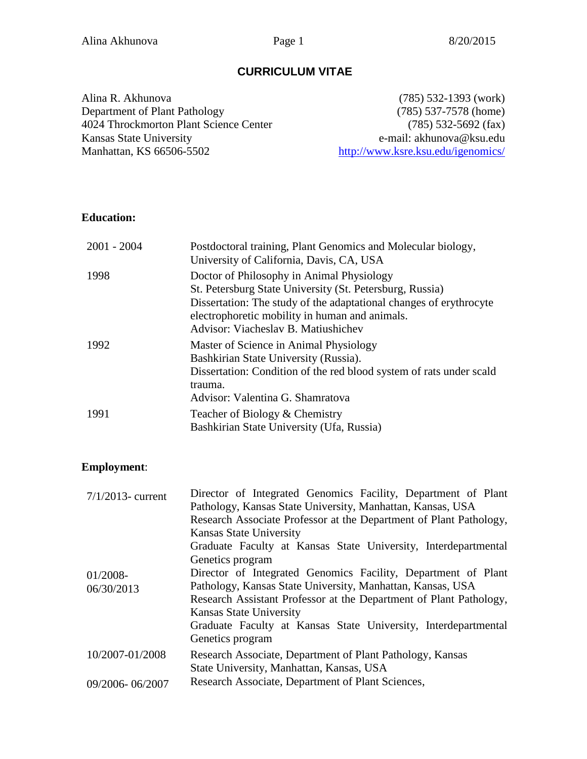## **CURRICULUM VITAE**

Alina R. Akhunova Department of Plant Pathology 4024 Throckmorton Plant Science Center Kansas State University Manhattan, KS 66506-5502

(785) 532-1393 (work) (785) 537-7578 (home) (785) 532-5692 (fax) e-mail: akhunova@ksu.edu <http://www.ksre.ksu.edu/igenomics/>

## **Education:**

| $2001 - 2004$ | Postdoctoral training, Plant Genomics and Molecular biology,<br>University of California, Davis, CA, USA                                                                                                                                                             |
|---------------|----------------------------------------------------------------------------------------------------------------------------------------------------------------------------------------------------------------------------------------------------------------------|
| 1998          | Doctor of Philosophy in Animal Physiology<br>St. Petersburg State University (St. Petersburg, Russia)<br>Dissertation: The study of the adaptational changes of erythrocyte<br>electrophoretic mobility in human and animals.<br>Advisor: Viacheslav B. Matiushichev |
| 1992          | Master of Science in Animal Physiology<br>Bashkirian State University (Russia).<br>Dissertation: Condition of the red blood system of rats under scald<br>trauma.<br>Advisor: Valentina G. Shamratova                                                                |
| 1991          | Teacher of Biology & Chemistry<br>Bashkirian State University (Ufa, Russia)                                                                                                                                                                                          |

## **Employment**:

| $7/1/2013$ - current | Director of Integrated Genomics Facility, Department of Plant      |
|----------------------|--------------------------------------------------------------------|
|                      | Pathology, Kansas State University, Manhattan, Kansas, USA         |
|                      | Research Associate Professor at the Department of Plant Pathology, |
|                      | <b>Kansas State University</b>                                     |
|                      | Graduate Faculty at Kansas State University, Interdepartmental     |
|                      | Genetics program                                                   |
| 01/2008-             | Director of Integrated Genomics Facility, Department of Plant      |
| 06/30/2013           | Pathology, Kansas State University, Manhattan, Kansas, USA         |
|                      | Research Assistant Professor at the Department of Plant Pathology, |
|                      | <b>Kansas State University</b>                                     |
|                      | Graduate Faculty at Kansas State University, Interdepartmental     |
|                      | Genetics program                                                   |
| 10/2007-01/2008      | Research Associate, Department of Plant Pathology, Kansas          |
|                      | State University, Manhattan, Kansas, USA                           |
| 09/2006-06/2007      | Research Associate, Department of Plant Sciences,                  |
|                      |                                                                    |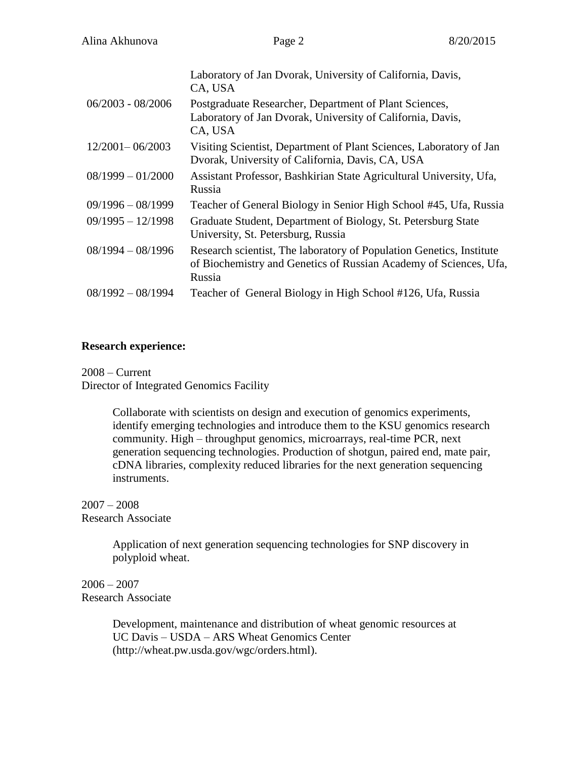|                     | Laboratory of Jan Dvorak, University of California, Davis,<br>CA, USA                                                                               |
|---------------------|-----------------------------------------------------------------------------------------------------------------------------------------------------|
| $06/2003 - 08/2006$ | Postgraduate Researcher, Department of Plant Sciences,<br>Laboratory of Jan Dvorak, University of California, Davis,<br>CA, USA                     |
| $12/2001 - 06/2003$ | Visiting Scientist, Department of Plant Sciences, Laboratory of Jan<br>Dvorak, University of California, Davis, CA, USA                             |
| $08/1999 - 01/2000$ | Assistant Professor, Bashkirian State Agricultural University, Ufa,<br>Russia                                                                       |
| $09/1996 - 08/1999$ | Teacher of General Biology in Senior High School #45, Ufa, Russia                                                                                   |
| $09/1995 - 12/1998$ | Graduate Student, Department of Biology, St. Petersburg State<br>University, St. Petersburg, Russia                                                 |
| $08/1994 - 08/1996$ | Research scientist, The laboratory of Population Genetics, Institute<br>of Biochemistry and Genetics of Russian Academy of Sciences, Ufa,<br>Russia |
| $08/1992 - 08/1994$ | Teacher of General Biology in High School #126, Ufa, Russia                                                                                         |

#### **Research experience:**

2008 – Current Director of Integrated Genomics Facility

> Collaborate with scientists on design and execution of genomics experiments, identify emerging technologies and introduce them to the KSU genomics research community. High – throughput genomics, microarrays, real-time PCR, next generation sequencing technologies. Production of shotgun, paired end, mate pair, cDNA libraries, complexity reduced libraries for the next generation sequencing instruments.

#### 2007 – 2008 Research Associate

Application of next generation sequencing technologies for SNP discovery in polyploid wheat.

## $2006 - 2007$ Research Associate

Development, maintenance and distribution of wheat genomic resources at UC Davis – USDA – ARS Wheat Genomics Center (http://wheat.pw.usda.gov/wgc/orders.html).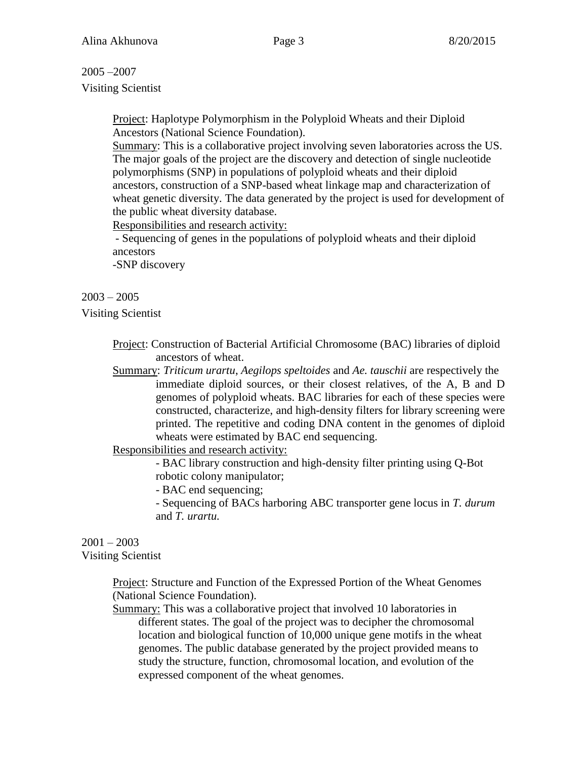## 2005 –2007

Visiting Scientist

Project: Haplotype Polymorphism in the Polyploid Wheats and their Diploid Ancestors (National Science Foundation).

Summary: This is a collaborative project involving seven laboratories across the US. The major goals of the project are the discovery and detection of single nucleotide polymorphisms (SNP) in populations of polyploid wheats and their diploid ancestors, construction of a SNP-based wheat linkage map and characterization of wheat genetic diversity. The data generated by the project is used for development of the public wheat diversity database.

Responsibilities and research activity:

- Sequencing of genes in the populations of polyploid wheats and their diploid ancestors

-SNP discovery

## $2003 - 2005$

Visiting Scientist

Project: Construction of Bacterial Artificial Chromosome (BAC) libraries of diploid ancestors of wheat.

Summary: *Triticum urartu*, *Aegilops speltoides* and *Ae. tauschii* are respectively the immediate diploid sources, or their closest relatives, of the A, B and D genomes of polyploid wheats. BAC libraries for each of these species were constructed, characterize, and high-density filters for library screening were printed. The repetitive and coding DNA content in the genomes of diploid wheats were estimated by BAC end sequencing.

Responsibilities and research activity:

- BAC library construction and high-density filter printing using Q-Bot robotic colony manipulator;

- BAC end sequencing;

- Sequencing of BACs harboring ABC transporter gene locus in *T. durum* and *T. urartu.*

#### $2001 - 2003$ Visiting Scientist

Project: Structure and Function of the Expressed Portion of the Wheat Genomes (National Science Foundation).

Summary: This was a collaborative project that involved 10 laboratories in different states. The goal of the project was to decipher the chromosomal location and biological function of 10,000 unique gene motifs in the wheat genomes. The public database generated by the project provided means to study the structure, function, chromosomal location, and evolution of the expressed component of the wheat genomes.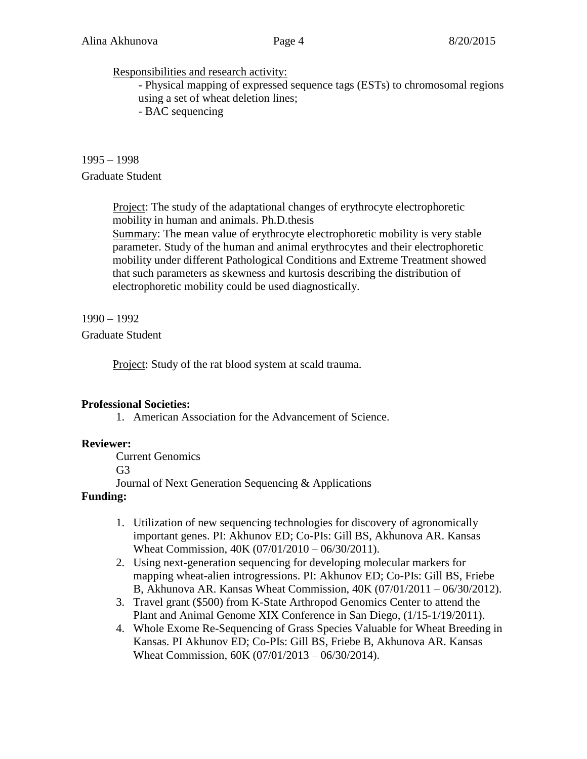#### Responsibilities and research activity:

- Physical mapping of expressed sequence tags (ESTs) to chromosomal regions using a set of wheat deletion lines;

- BAC sequencing

## 1995 – 1998 Graduate Student

Project: The study of the adaptational changes of erythrocyte electrophoretic mobility in human and animals. Ph.D.thesis

Summary: The mean value of erythrocyte electrophoretic mobility is very stable parameter. Study of the human and animal erythrocytes and their electrophoretic mobility under different Pathological Conditions and Extreme Treatment showed that such parameters as skewness and kurtosis describing the distribution of electrophoretic mobility could be used diagnostically.

1990 – 1992

## Graduate Student

Project: Study of the rat blood system at scald trauma.

## **Professional Societies:**

1. American Association for the Advancement of Science.

## **Reviewer:**

Current Genomics G3 Journal of Next Generation Sequencing & Applications

## **Funding:**

- 1. Utilization of new sequencing technologies for discovery of agronomically important genes. PI: Akhunov ED; Co-PIs: Gill BS, Akhunova AR. Kansas Wheat Commission, 40K (07/01/2010 – 06/30/2011).
- 2. Using next-generation sequencing for developing molecular markers for mapping wheat-alien introgressions. PI: Akhunov ED; Co-PIs: Gill BS, Friebe B, Akhunova AR. Kansas Wheat Commission, 40K (07/01/2011 – 06/30/2012).
- 3. Travel grant (\$500) from K-State Arthropod Genomics Center to attend the Plant and Animal Genome XIX Conference in San Diego, (1/15-1/19/2011).
- 4. Whole Exome Re-Sequencing of Grass Species Valuable for Wheat Breeding in Kansas. PI Akhunov ED; Co-PIs: Gill BS, Friebe B, Akhunova AR. Kansas Wheat Commission, 60K (07/01/2013 – 06/30/2014).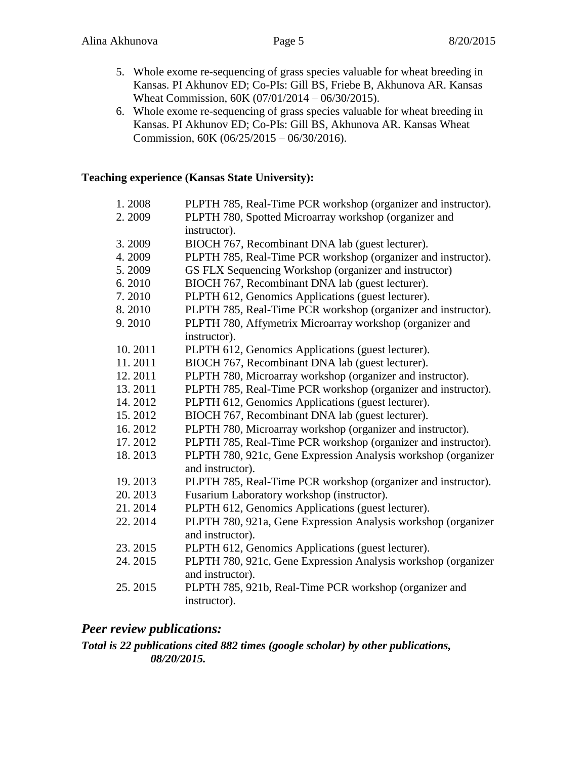- 5. Whole exome re-sequencing of grass species valuable for wheat breeding in Kansas. PI Akhunov ED; Co-PIs: Gill BS, Friebe B, Akhunova AR. Kansas Wheat Commission, 60K (07/01/2014 – 06/30/2015).
- 6. Whole exome re-sequencing of grass species valuable for wheat breeding in Kansas. PI Akhunov ED; Co-PIs: Gill BS, Akhunova AR. Kansas Wheat Commission, 60K (06/25/2015 – 06/30/2016).

## **Teaching experience (Kansas State University):**

| 1.2008  | PLPTH 785, Real-Time PCR workshop (organizer and instructor). |
|---------|---------------------------------------------------------------|
| 2.2009  | PLPTH 780, Spotted Microarray workshop (organizer and         |
|         | instructor).                                                  |
| 3.2009  | BIOCH 767, Recombinant DNA lab (guest lecturer).              |
| 4.2009  | PLPTH 785, Real-Time PCR workshop (organizer and instructor). |
| 5.2009  | GS FLX Sequencing Workshop (organizer and instructor)         |
| 6.2010  | BIOCH 767, Recombinant DNA lab (guest lecturer).              |
| 7.2010  | PLPTH 612, Genomics Applications (guest lecturer).            |
| 8.2010  | PLPTH 785, Real-Time PCR workshop (organizer and instructor). |
| 9.2010  | PLPTH 780, Affymetrix Microarray workshop (organizer and      |
|         | instructor).                                                  |
| 10.2011 | PLPTH 612, Genomics Applications (guest lecturer).            |
| 11.2011 | BIOCH 767, Recombinant DNA lab (guest lecturer).              |
| 12.2011 | PLPTH 780, Microarray workshop (organizer and instructor).    |
| 13.2011 | PLPTH 785, Real-Time PCR workshop (organizer and instructor). |
| 14.2012 | PLPTH 612, Genomics Applications (guest lecturer).            |
| 15.2012 | BIOCH 767, Recombinant DNA lab (guest lecturer).              |
| 16.2012 | PLPTH 780, Microarray workshop (organizer and instructor).    |
| 17.2012 | PLPTH 785, Real-Time PCR workshop (organizer and instructor). |
| 18.2013 | PLPTH 780, 921c, Gene Expression Analysis workshop (organizer |
|         | and instructor).                                              |
| 19.2013 | PLPTH 785, Real-Time PCR workshop (organizer and instructor). |
| 20.2013 | Fusarium Laboratory workshop (instructor).                    |
| 21.2014 | PLPTH 612, Genomics Applications (guest lecturer).            |
| 22.2014 | PLPTH 780, 921a, Gene Expression Analysis workshop (organizer |
|         | and instructor).                                              |
| 23.2015 | PLPTH 612, Genomics Applications (guest lecturer).            |
| 24.2015 | PLPTH 780, 921c, Gene Expression Analysis workshop (organizer |
|         | and instructor).                                              |
| 25.2015 | PLPTH 785, 921b, Real-Time PCR workshop (organizer and        |
|         | instructor).                                                  |

## *Peer review publications:*

## *Total is 22 publications cited 882 times (google scholar) by other publications, 08/20/2015.*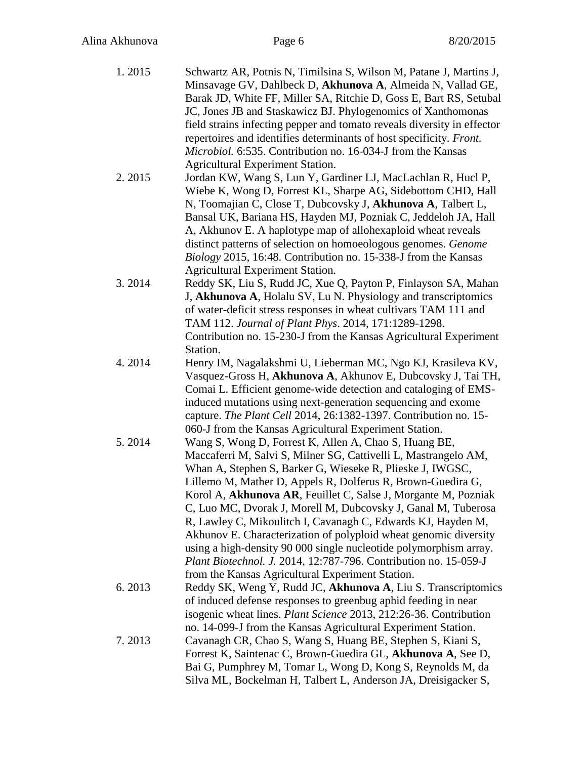| 1.2015 | Schwartz AR, Potnis N, Timilsina S, Wilson M, Patane J, Martins J,<br>Minsavage GV, Dahlbeck D, Akhunova A, Almeida N, Vallad GE,<br>Barak JD, White FF, Miller SA, Ritchie D, Goss E, Bart RS, Setubal |
|--------|---------------------------------------------------------------------------------------------------------------------------------------------------------------------------------------------------------|
|        | JC, Jones JB and Staskawicz BJ. Phylogenomics of Xanthomonas                                                                                                                                            |
|        | field strains infecting pepper and tomato reveals diversity in effector                                                                                                                                 |
|        | repertoires and identifies determinants of host specificity. Front.                                                                                                                                     |
|        | Microbiol. 6:535. Contribution no. 16-034-J from the Kansas<br>Agricultural Experiment Station.                                                                                                         |
| 2.2015 | Jordan KW, Wang S, Lun Y, Gardiner LJ, MacLachlan R, Hucl P,                                                                                                                                            |
|        | Wiebe K, Wong D, Forrest KL, Sharpe AG, Sidebottom CHD, Hall                                                                                                                                            |
|        | N, Toomajian C, Close T, Dubcovsky J, Akhunova A, Talbert L,                                                                                                                                            |
|        | Bansal UK, Bariana HS, Hayden MJ, Pozniak C, Jeddeloh JA, Hall                                                                                                                                          |
|        | A, Akhunov E. A haplotype map of allohexaploid wheat reveals                                                                                                                                            |
|        | distinct patterns of selection on homoeologous genomes. Genome                                                                                                                                          |
|        | Biology 2015, 16:48. Contribution no. 15-338-J from the Kansas<br>Agricultural Experiment Station.                                                                                                      |
| 3.2014 | Reddy SK, Liu S, Rudd JC, Xue Q, Payton P, Finlayson SA, Mahan                                                                                                                                          |
|        | J, Akhunova A, Holalu SV, Lu N. Physiology and transcriptomics                                                                                                                                          |
|        | of water-deficit stress responses in wheat cultivars TAM 111 and                                                                                                                                        |
|        | TAM 112. Journal of Plant Phys. 2014, 171:1289-1298.                                                                                                                                                    |
|        | Contribution no. 15-230-J from the Kansas Agricultural Experiment                                                                                                                                       |
|        | Station.                                                                                                                                                                                                |
| 4.2014 | Henry IM, Nagalakshmi U, Lieberman MC, Ngo KJ, Krasileva KV,<br>Vasquez-Gross H, Akhunova A, Akhunov E, Dubcovsky J, Tai TH,                                                                            |
|        | Comai L. Efficient genome-wide detection and cataloging of EMS-                                                                                                                                         |
|        | induced mutations using next-generation sequencing and exome                                                                                                                                            |
|        | capture. The Plant Cell 2014, 26:1382-1397. Contribution no. 15-                                                                                                                                        |
|        | 060-J from the Kansas Agricultural Experiment Station.                                                                                                                                                  |
| 5.2014 | Wang S, Wong D, Forrest K, Allen A, Chao S, Huang BE,                                                                                                                                                   |
|        | Maccaferri M, Salvi S, Milner SG, Cattivelli L, Mastrangelo AM,                                                                                                                                         |
|        | Whan A, Stephen S, Barker G, Wieseke R, Plieske J, IWGSC,                                                                                                                                               |
|        | Lillemo M, Mather D, Appels R, Dolferus R, Brown-Guedira G,<br>Korol A, Akhunova AR, Feuillet C, Salse J, Morgante M, Pozniak                                                                           |
|        | C, Luo MC, Dvorak J, Morell M, Dubcovsky J, Ganal M, Tuberosa                                                                                                                                           |
|        | R, Lawley C, Mikoulitch I, Cavanagh C, Edwards KJ, Hayden M,                                                                                                                                            |
|        | Akhunov E. Characterization of polyploid wheat genomic diversity                                                                                                                                        |
|        | using a high-density 90 000 single nucleotide polymorphism array.                                                                                                                                       |
|        | Plant Biotechnol. J. 2014, 12:787-796. Contribution no. 15-059-J                                                                                                                                        |
|        | from the Kansas Agricultural Experiment Station.                                                                                                                                                        |
| 6.2013 | Reddy SK, Weng Y, Rudd JC, Akhunova A, Liu S. Transcriptomics                                                                                                                                           |
|        | of induced defense responses to greenbug aphid feeding in near<br>isogenic wheat lines. <i>Plant Science</i> 2013, 212:26-36. Contribution                                                              |
|        | no. 14-099-J from the Kansas Agricultural Experiment Station.                                                                                                                                           |
| 7.2013 | Cavanagh CR, Chao S, Wang S, Huang BE, Stephen S, Kiani S,                                                                                                                                              |
|        | Forrest K, Saintenac C, Brown-Guedira GL, Akhunova A, See D,                                                                                                                                            |
|        | Bai G, Pumphrey M, Tomar L, Wong D, Kong S, Reynolds M, da                                                                                                                                              |
|        | Silva ML, Bockelman H, Talbert L, Anderson JA, Dreisigacker S,                                                                                                                                          |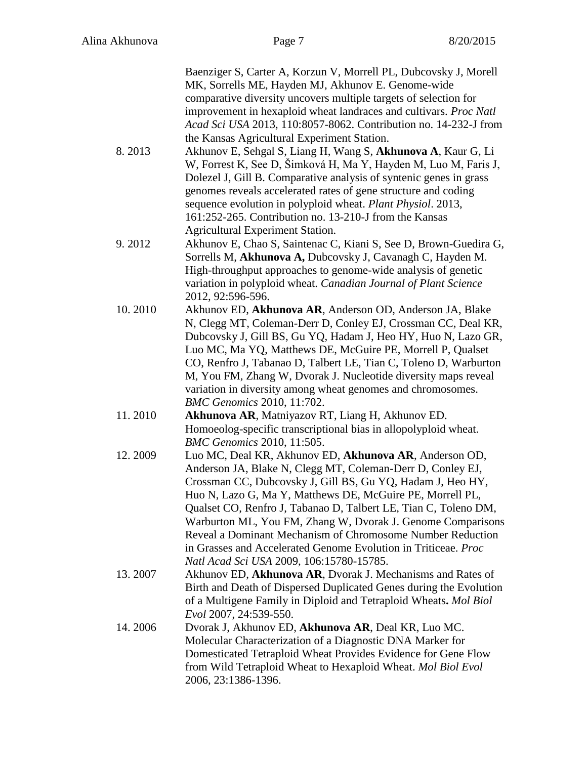|         | Baenziger S, Carter A, Korzun V, Morrell PL, Dubcovsky J, Morell<br>MK, Sorrells ME, Hayden MJ, Akhunov E. Genome-wide<br>comparative diversity uncovers multiple targets of selection for |
|---------|--------------------------------------------------------------------------------------------------------------------------------------------------------------------------------------------|
|         | improvement in hexaploid wheat landraces and cultivars. Proc Natl                                                                                                                          |
|         | Acad Sci USA 2013, 110:8057-8062. Contribution no. 14-232-J from<br>the Kansas Agricultural Experiment Station.                                                                            |
| 8.2013  | Akhunov E, Sehgal S, Liang H, Wang S, Akhunova A, Kaur G, Li                                                                                                                               |
|         | W, Forrest K, See D, Šimková H, Ma Y, Hayden M, Luo M, Faris J,                                                                                                                            |
|         | Dolezel J, Gill B. Comparative analysis of syntenic genes in grass                                                                                                                         |
|         | genomes reveals accelerated rates of gene structure and coding<br>sequence evolution in polyploid wheat. Plant Physiol. 2013,                                                              |
|         | 161:252-265. Contribution no. 13-210-J from the Kansas                                                                                                                                     |
|         | <b>Agricultural Experiment Station.</b>                                                                                                                                                    |
| 9.2012  | Akhunov E, Chao S, Saintenac C, Kiani S, See D, Brown-Guedira G,                                                                                                                           |
|         | Sorrells M, Akhunova A, Dubcovsky J, Cavanagh C, Hayden M.                                                                                                                                 |
|         | High-throughput approaches to genome-wide analysis of genetic<br>variation in polyploid wheat. Canadian Journal of Plant Science                                                           |
|         | 2012, 92:596-596.                                                                                                                                                                          |
| 10.2010 | Akhunov ED, Akhunova AR, Anderson OD, Anderson JA, Blake                                                                                                                                   |
|         | N, Clegg MT, Coleman-Derr D, Conley EJ, Crossman CC, Deal KR,                                                                                                                              |
|         | Dubcovsky J, Gill BS, Gu YQ, Hadam J, Heo HY, Huo N, Lazo GR,<br>Luo MC, Ma YQ, Matthews DE, McGuire PE, Morrell P, Qualset                                                                |
|         | CO, Renfro J, Tabanao D, Talbert LE, Tian C, Toleno D, Warburton                                                                                                                           |
|         | M, You FM, Zhang W, Dvorak J. Nucleotide diversity maps reveal                                                                                                                             |
|         | variation in diversity among wheat genomes and chromosomes.                                                                                                                                |
| 11.2010 | <b>BMC</b> Genomics 2010, 11:702.<br>Akhunova AR, Matniyazov RT, Liang H, Akhunov ED.                                                                                                      |
|         | Homoeolog-specific transcriptional bias in allopolyploid wheat.                                                                                                                            |
|         | <b>BMC</b> Genomics 2010, 11:505.                                                                                                                                                          |
| 12.2009 | Luo MC, Deal KR, Akhunov ED, Akhunova AR, Anderson OD,                                                                                                                                     |
|         | Anderson JA, Blake N, Clegg MT, Coleman-Derr D, Conley EJ,<br>Crossman CC, Dubcovsky J, Gill BS, Gu YQ, Hadam J, Heo HY,                                                                   |
|         | Huo N, Lazo G, Ma Y, Matthews DE, McGuire PE, Morrell PL,                                                                                                                                  |
|         | Qualset CO, Renfro J, Tabanao D, Talbert LE, Tian C, Toleno DM,                                                                                                                            |
|         | Warburton ML, You FM, Zhang W, Dvorak J. Genome Comparisons                                                                                                                                |
|         | Reveal a Dominant Mechanism of Chromosome Number Reduction<br>in Grasses and Accelerated Genome Evolution in Triticeae. Proc                                                               |
|         | Natl Acad Sci USA 2009, 106:15780-15785.                                                                                                                                                   |
| 13.2007 | Akhunov ED, Akhunova AR, Dvorak J. Mechanisms and Rates of                                                                                                                                 |
|         | Birth and Death of Dispersed Duplicated Genes during the Evolution                                                                                                                         |
|         | of a Multigene Family in Diploid and Tetraploid Wheats. Mol Biol                                                                                                                           |
| 14.2006 | Evol 2007, 24:539-550.<br>Dvorak J, Akhunov ED, Akhunova AR, Deal KR, Luo MC.                                                                                                              |
|         | Molecular Characterization of a Diagnostic DNA Marker for                                                                                                                                  |
|         | Domesticated Tetraploid Wheat Provides Evidence for Gene Flow                                                                                                                              |
|         | from Wild Tetraploid Wheat to Hexaploid Wheat. Mol Biol Evol                                                                                                                               |
|         | 2006, 23:1386-1396.                                                                                                                                                                        |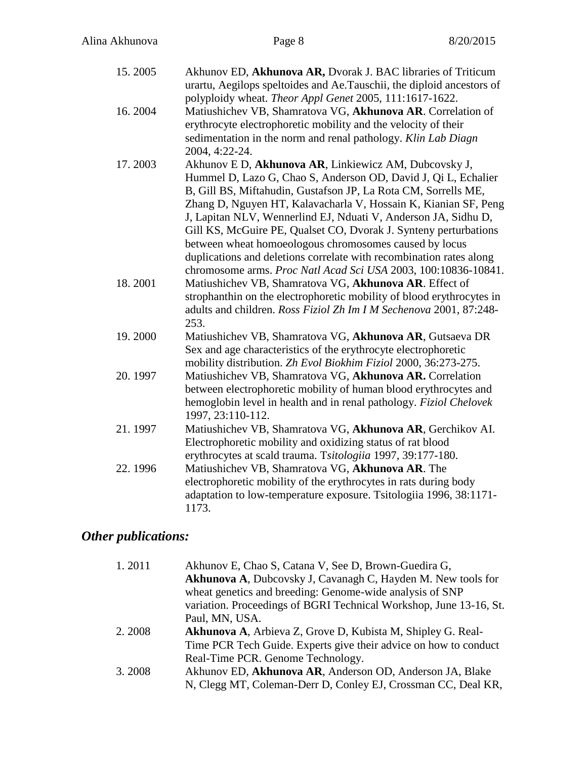| 15.2005 | Akhunov ED, Akhunova AR, Dvorak J. BAC libraries of Triticum<br>urartu, Aegilops speltoides and Ae.Tauschii, the diploid ancestors of<br>polyploidy wheat. Theor Appl Genet 2005, 111:1617-1622.                                                                                                                                                                                                                                                                                                                                                                                                      |
|---------|-------------------------------------------------------------------------------------------------------------------------------------------------------------------------------------------------------------------------------------------------------------------------------------------------------------------------------------------------------------------------------------------------------------------------------------------------------------------------------------------------------------------------------------------------------------------------------------------------------|
| 16.2004 | Matiushichev VB, Shamratova VG, Akhunova AR. Correlation of<br>erythrocyte electrophoretic mobility and the velocity of their<br>sedimentation in the norm and renal pathology. Klin Lab Diagn<br>2004, 4:22-24.                                                                                                                                                                                                                                                                                                                                                                                      |
| 17.2003 | Akhunov E D, Akhunova AR, Linkiewicz AM, Dubcovsky J,<br>Hummel D, Lazo G, Chao S, Anderson OD, David J, Qi L, Echalier<br>B, Gill BS, Miftahudin, Gustafson JP, La Rota CM, Sorrells ME,<br>Zhang D, Nguyen HT, Kalavacharla V, Hossain K, Kianian SF, Peng<br>J, Lapitan NLV, Wennerlind EJ, Nduati V, Anderson JA, Sidhu D,<br>Gill KS, McGuire PE, Qualset CO, Dvorak J. Synteny perturbations<br>between wheat homoeologous chromosomes caused by locus<br>duplications and deletions correlate with recombination rates along<br>chromosome arms. Proc Natl Acad Sci USA 2003, 100:10836-10841. |
| 18.2001 | Matiushichev VB, Shamratova VG, Akhunova AR. Effect of<br>strophanthin on the electrophoretic mobility of blood erythrocytes in<br>adults and children. Ross Fiziol Zh Im I M Sechenova 2001, 87:248-<br>253.                                                                                                                                                                                                                                                                                                                                                                                         |
| 19.2000 | Matiushichev VB, Shamratova VG, Akhunova AR, Gutsaeva DR<br>Sex and age characteristics of the erythrocyte electrophoretic<br>mobility distribution. Zh Evol Biokhim Fiziol 2000, 36:273-275.                                                                                                                                                                                                                                                                                                                                                                                                         |
| 20.1997 | Matiushichev VB, Shamratova VG, Akhunova AR. Correlation<br>between electrophoretic mobility of human blood erythrocytes and<br>hemoglobin level in health and in renal pathology. Fiziol Chelovek<br>1997, 23:110-112.                                                                                                                                                                                                                                                                                                                                                                               |
| 21.1997 | Matiushichev VB, Shamratova VG, Akhunova AR, Gerchikov AI.<br>Electrophoretic mobility and oxidizing status of rat blood<br>erythrocytes at scald trauma. Tsitologiia 1997, 39:177-180.                                                                                                                                                                                                                                                                                                                                                                                                               |
| 22.1996 | Matiushichev VB, Shamratova VG, Akhunova AR. The<br>electrophoretic mobility of the erythrocytes in rats during body<br>adaptation to low-temperature exposure. Tsitologiia 1996, 38:1171-<br>1173.                                                                                                                                                                                                                                                                                                                                                                                                   |

# *Other publications:*

| 1.2011 | Akhunov E, Chao S, Catana V, See D, Brown-Guedira G,               |
|--------|--------------------------------------------------------------------|
|        | Akhunova A, Dubcovsky J, Cavanagh C, Hayden M. New tools for       |
|        |                                                                    |
|        | wheat genetics and breeding: Genome-wide analysis of SNP           |
|        | variation. Proceedings of BGRI Technical Workshop, June 13-16, St. |
|        | Paul, MN, USA.                                                     |
| 2.2008 | Akhunova A, Arbieva Z, Grove D, Kubista M, Shipley G. Real-        |
|        | Time PCR Tech Guide. Experts give their advice on how to conduct   |
|        | Real-Time PCR. Genome Technology.                                  |
| 3.2008 | Akhunov ED, Akhunova AR, Anderson OD, Anderson JA, Blake           |
|        | N, Clegg MT, Coleman-Derr D, Conley EJ, Crossman CC, Deal KR,      |
|        |                                                                    |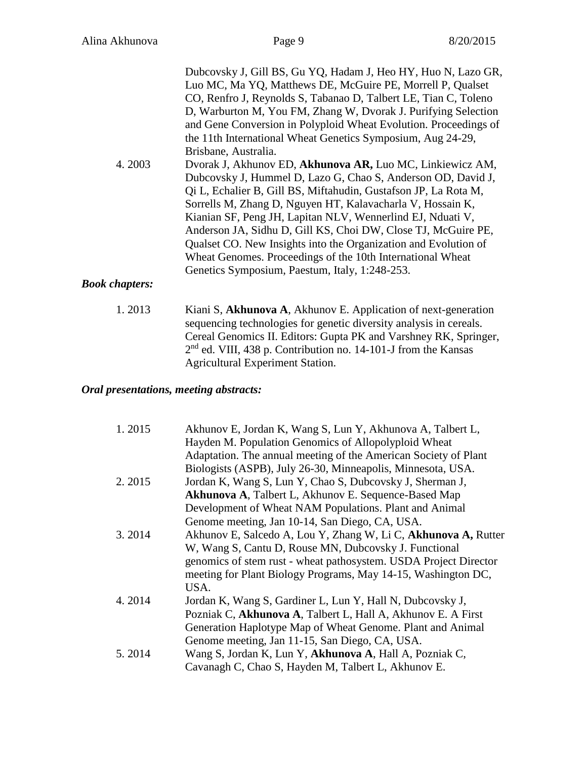| 4.2003                | Dubcovsky J, Gill BS, Gu YQ, Hadam J, Heo HY, Huo N, Lazo GR,<br>Luo MC, Ma YQ, Matthews DE, McGuire PE, Morrell P, Qualset<br>CO, Renfro J, Reynolds S, Tabanao D, Talbert LE, Tian C, Toleno<br>D, Warburton M, You FM, Zhang W, Dvorak J. Purifying Selection<br>and Gene Conversion in Polyploid Wheat Evolution. Proceedings of<br>the 11th International Wheat Genetics Symposium, Aug 24-29,<br>Brisbane, Australia.<br>Dvorak J, Akhunov ED, Akhunova AR, Luo MC, Linkiewicz AM,<br>Dubcovsky J, Hummel D, Lazo G, Chao S, Anderson OD, David J,<br>Qi L, Echalier B, Gill BS, Miftahudin, Gustafson JP, La Rota M,<br>Sorrells M, Zhang D, Nguyen HT, Kalavacharla V, Hossain K,<br>Kianian SF, Peng JH, Lapitan NLV, Wennerlind EJ, Nduati V,<br>Anderson JA, Sidhu D, Gill KS, Choi DW, Close TJ, McGuire PE,<br>Qualset CO. New Insights into the Organization and Evolution of<br>Wheat Genomes. Proceedings of the 10th International Wheat<br>Genetics Symposium, Paestum, Italy, 1:248-253. |
|-----------------------|-------------------------------------------------------------------------------------------------------------------------------------------------------------------------------------------------------------------------------------------------------------------------------------------------------------------------------------------------------------------------------------------------------------------------------------------------------------------------------------------------------------------------------------------------------------------------------------------------------------------------------------------------------------------------------------------------------------------------------------------------------------------------------------------------------------------------------------------------------------------------------------------------------------------------------------------------------------------------------------------------------------|
| <b>Book chapters:</b> |                                                                                                                                                                                                                                                                                                                                                                                                                                                                                                                                                                                                                                                                                                                                                                                                                                                                                                                                                                                                             |

1. 2013 Kiani S, **Akhunova A**, Akhunov E. Application of next-generation sequencing technologies for genetic diversity analysis in cereals. Cereal Genomics II. Editors: Gupta PK and Varshney RK, Springer, 2<sup>nd</sup> ed. VIII, 438 p. Contribution no. 14-101-J from the Kansas Agricultural Experiment Station.

## *Oral presentations, meeting abstracts:*

| 1.2015 | Akhunov E, Jordan K, Wang S, Lun Y, Akhunova A, Talbert L,<br>Hayden M. Population Genomics of Allopolyploid Wheat             |
|--------|--------------------------------------------------------------------------------------------------------------------------------|
|        | Adaptation. The annual meeting of the American Society of Plant<br>Biologists (ASPB), July 26-30, Minneapolis, Minnesota, USA. |
| 2.2015 | Jordan K, Wang S, Lun Y, Chao S, Dubcovsky J, Sherman J,                                                                       |
|        | Akhunova A, Talbert L, Akhunov E. Sequence-Based Map                                                                           |
|        | Development of Wheat NAM Populations. Plant and Animal                                                                         |
|        | Genome meeting, Jan 10-14, San Diego, CA, USA.                                                                                 |
| 3.2014 | Akhunov E, Salcedo A, Lou Y, Zhang W, Li C, Akhunova A, Rutter                                                                 |
|        | W, Wang S, Cantu D, Rouse MN, Dubcovsky J. Functional                                                                          |
|        | genomics of stem rust - wheat pathosystem. USDA Project Director                                                               |
|        | meeting for Plant Biology Programs, May 14-15, Washington DC,                                                                  |
|        | USA.                                                                                                                           |
| 4.2014 | Jordan K, Wang S, Gardiner L, Lun Y, Hall N, Dubcovsky J,                                                                      |
|        | Pozniak C, Akhunova A, Talbert L, Hall A, Akhunov E. A First                                                                   |
|        | Generation Haplotype Map of Wheat Genome. Plant and Animal                                                                     |
|        | Genome meeting, Jan 11-15, San Diego, CA, USA.                                                                                 |
| 5.2014 | Wang S, Jordan K, Lun Y, Akhunova A, Hall A, Pozniak C,                                                                        |
|        | Cavanagh C, Chao S, Hayden M, Talbert L, Akhunov E.                                                                            |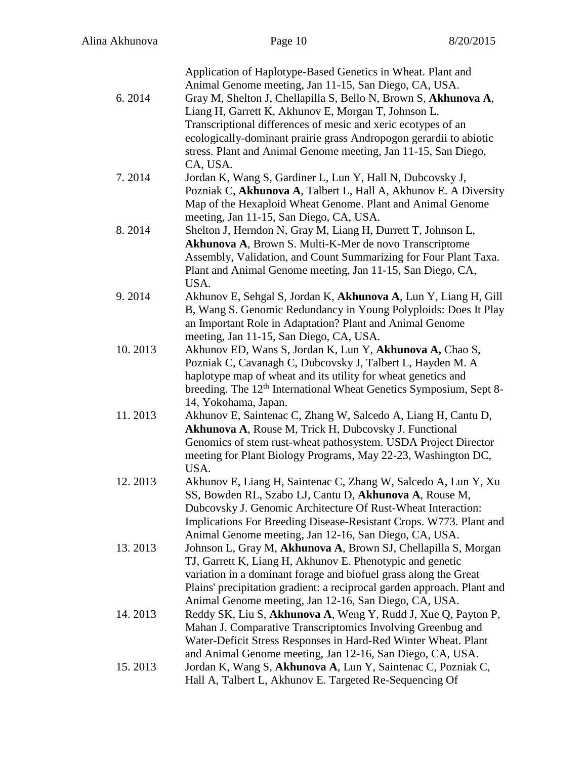|         | Application of Haplotype-Based Genetics in Wheat. Plant and<br>Animal Genome meeting, Jan 11-15, San Diego, CA, USA.                        |
|---------|---------------------------------------------------------------------------------------------------------------------------------------------|
| 6.2014  | Gray M, Shelton J, Chellapilla S, Bello N, Brown S, Akhunova A,                                                                             |
|         | Liang H, Garrett K, Akhunov E, Morgan T, Johnson L.                                                                                         |
|         | Transcriptional differences of mesic and xeric ecotypes of an                                                                               |
|         | ecologically-dominant prairie grass Andropogon gerardii to abiotic                                                                          |
|         | stress. Plant and Animal Genome meeting, Jan 11-15, San Diego,                                                                              |
|         | CA, USA.                                                                                                                                    |
| 7.2014  | Jordan K, Wang S, Gardiner L, Lun Y, Hall N, Dubcovsky J,<br>Pozniak C, Akhunova A, Talbert L, Hall A, Akhunov E. A Diversity               |
|         | Map of the Hexaploid Wheat Genome. Plant and Animal Genome                                                                                  |
|         | meeting, Jan 11-15, San Diego, CA, USA.                                                                                                     |
| 8.2014  | Shelton J, Herndon N, Gray M, Liang H, Durrett T, Johnson L,                                                                                |
|         | Akhunova A, Brown S. Multi-K-Mer de novo Transcriptome                                                                                      |
|         | Assembly, Validation, and Count Summarizing for Four Plant Taxa.                                                                            |
|         | Plant and Animal Genome meeting, Jan 11-15, San Diego, CA,<br>USA.                                                                          |
| 9.2014  | Akhunov E, Sehgal S, Jordan K, Akhunova A, Lun Y, Liang H, Gill                                                                             |
|         | B, Wang S. Genomic Redundancy in Young Polyploids: Does It Play                                                                             |
|         | an Important Role in Adaptation? Plant and Animal Genome                                                                                    |
|         | meeting, Jan 11-15, San Diego, CA, USA.                                                                                                     |
| 10.2013 | Akhunov ED, Wans S, Jordan K, Lun Y, Akhunova A, Chao S,                                                                                    |
|         | Pozniak C, Cavanagh C, Dubcovsky J, Talbert L, Hayden M. A                                                                                  |
|         | haplotype map of wheat and its utility for wheat genetics and                                                                               |
|         | breeding. The 12 <sup>th</sup> International Wheat Genetics Symposium, Sept 8-                                                              |
|         | 14, Yokohama, Japan.                                                                                                                        |
| 11.2013 | Akhunov E, Saintenac C, Zhang W, Salcedo A, Liang H, Cantu D,                                                                               |
|         | Akhunova A, Rouse M, Trick H, Dubcovsky J. Functional                                                                                       |
|         | Genomics of stem rust-wheat pathosystem. USDA Project Director                                                                              |
|         | meeting for Plant Biology Programs, May 22-23, Washington DC,                                                                               |
|         | USA.                                                                                                                                        |
| 12.2013 | Akhunov E, Liang H, Saintenac C, Zhang W, Salcedo A, Lun Y, Xu                                                                              |
|         | SS, Bowden RL, Szabo LJ, Cantu D, Akhunova A, Rouse M,                                                                                      |
|         | Dubcovsky J. Genomic Architecture Of Rust-Wheat Interaction:                                                                                |
|         | Implications For Breeding Disease-Resistant Crops. W773. Plant and                                                                          |
|         | Animal Genome meeting, Jan 12-16, San Diego, CA, USA.                                                                                       |
| 13.2013 | Johnson L, Gray M, Akhunova A, Brown SJ, Chellapilla S, Morgan                                                                              |
|         | TJ, Garrett K, Liang H, Akhunov E. Phenotypic and genetic                                                                                   |
|         | variation in a dominant forage and biofuel grass along the Great<br>Plains' precipitation gradient: a reciprocal garden approach. Plant and |
|         | Animal Genome meeting, Jan 12-16, San Diego, CA, USA.                                                                                       |
| 14.2013 | Reddy SK, Liu S, Akhunova A, Weng Y, Rudd J, Xue Q, Payton P,                                                                               |
|         | Mahan J. Comparative Transcriptomics Involving Greenbug and                                                                                 |
|         | Water-Deficit Stress Responses in Hard-Red Winter Wheat. Plant                                                                              |
|         | and Animal Genome meeting, Jan 12-16, San Diego, CA, USA.                                                                                   |
| 15.2013 | Jordan K, Wang S, Akhunova A, Lun Y, Saintenac C, Pozniak C,                                                                                |
|         | Hall A, Talbert L, Akhunov E. Targeted Re-Sequencing Of                                                                                     |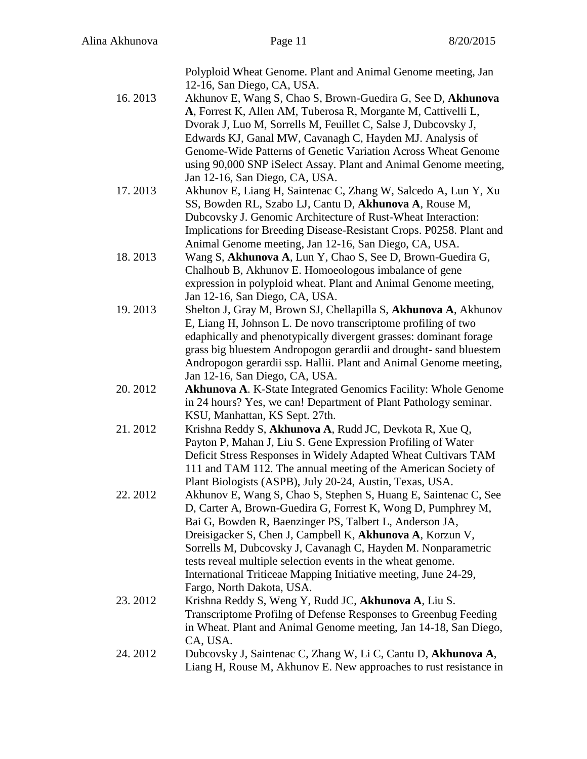|         | Polyploid Wheat Genome. Plant and Animal Genome meeting, Jan        |
|---------|---------------------------------------------------------------------|
|         | 12-16, San Diego, CA, USA.                                          |
| 16.2013 | Akhunov E, Wang S, Chao S, Brown-Guedira G, See D, Akhunova         |
|         | A, Forrest K, Allen AM, Tuberosa R, Morgante M, Cattivelli L,       |
|         | Dvorak J, Luo M, Sorrells M, Feuillet C, Salse J, Dubcovsky J,      |
|         | Edwards KJ, Ganal MW, Cavanagh C, Hayden MJ. Analysis of            |
|         | Genome-Wide Patterns of Genetic Variation Across Wheat Genome       |
|         | using 90,000 SNP iSelect Assay. Plant and Animal Genome meeting,    |
|         |                                                                     |
| 17.2013 | Jan 12-16, San Diego, CA, USA.                                      |
|         | Akhunov E, Liang H, Saintenac C, Zhang W, Salcedo A, Lun Y, Xu      |
|         | SS, Bowden RL, Szabo LJ, Cantu D, Akhunova A, Rouse M,              |
|         | Dubcovsky J. Genomic Architecture of Rust-Wheat Interaction:        |
|         | Implications for Breeding Disease-Resistant Crops. P0258. Plant and |
|         | Animal Genome meeting, Jan 12-16, San Diego, CA, USA.               |
| 18.2013 | Wang S, Akhunova A, Lun Y, Chao S, See D, Brown-Guedira G,          |
|         | Chalhoub B, Akhunov E. Homoeologous imbalance of gene               |
|         | expression in polyploid wheat. Plant and Animal Genome meeting,     |
|         | Jan 12-16, San Diego, CA, USA.                                      |
| 19.2013 | Shelton J, Gray M, Brown SJ, Chellapilla S, Akhunova A, Akhunov     |
|         | E, Liang H, Johnson L. De novo transcriptome profiling of two       |
|         | edaphically and phenotypically divergent grasses: dominant forage   |
|         | grass big bluestem Andropogon gerardii and drought-sand bluestem    |
|         | Andropogon gerardii ssp. Hallii. Plant and Animal Genome meeting,   |
|         | Jan 12-16, San Diego, CA, USA.                                      |
| 20.2012 | Akhunova A. K-State Integrated Genomics Facility: Whole Genome      |
|         | in 24 hours? Yes, we can! Department of Plant Pathology seminar.    |
|         | KSU, Manhattan, KS Sept. 27th.                                      |
| 21.2012 | Krishna Reddy S, Akhunova A, Rudd JC, Devkota R, Xue Q,             |
|         | Payton P, Mahan J, Liu S. Gene Expression Profiling of Water        |
|         | Deficit Stress Responses in Widely Adapted Wheat Cultivars TAM      |
|         | 111 and TAM 112. The annual meeting of the American Society of      |
|         | Plant Biologists (ASPB), July 20-24, Austin, Texas, USA.            |
| 22.2012 | Akhunov E, Wang S, Chao S, Stephen S, Huang E, Saintenac C, See     |
|         | D, Carter A, Brown-Guedira G, Forrest K, Wong D, Pumphrey M,        |
|         | Bai G, Bowden R, Baenzinger PS, Talbert L, Anderson JA,             |
|         | Dreisigacker S, Chen J, Campbell K, Akhunova A, Korzun V,           |
|         | Sorrells M, Dubcovsky J, Cavanagh C, Hayden M. Nonparametric        |
|         | tests reveal multiple selection events in the wheat genome.         |
|         | International Triticeae Mapping Initiative meeting, June 24-29,     |
|         | Fargo, North Dakota, USA.                                           |
|         |                                                                     |
| 23.2012 | Krishna Reddy S, Weng Y, Rudd JC, Akhunova A, Liu S.                |
|         | Transcriptome Profilng of Defense Responses to Greenbug Feeding     |
|         | in Wheat. Plant and Animal Genome meeting, Jan 14-18, San Diego,    |
|         | CA, USA.                                                            |
| 24.2012 | Dubcovsky J, Saintenac C, Zhang W, Li C, Cantu D, Akhunova A,       |
|         | Liang H, Rouse M, Akhunov E. New approaches to rust resistance in   |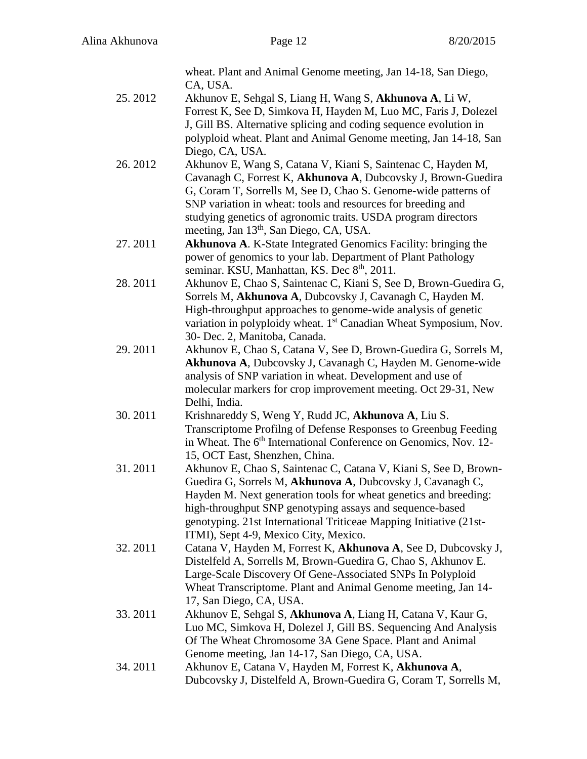| CA, USA.<br>25.2012<br>Akhunov E, Sehgal S, Liang H, Wang S, Akhunova A, Li W,<br>Forrest K, See D, Simkova H, Hayden M, Luo MC, Faris J, Dolezel<br>J, Gill BS. Alternative splicing and coding sequence evolution in<br>polyploid wheat. Plant and Animal Genome meeting, Jan 14-18, San<br>Diego, CA, USA.<br>26.2012<br>Akhunov E, Wang S, Catana V, Kiani S, Saintenac C, Hayden M, |
|------------------------------------------------------------------------------------------------------------------------------------------------------------------------------------------------------------------------------------------------------------------------------------------------------------------------------------------------------------------------------------------|
|                                                                                                                                                                                                                                                                                                                                                                                          |
|                                                                                                                                                                                                                                                                                                                                                                                          |
|                                                                                                                                                                                                                                                                                                                                                                                          |
|                                                                                                                                                                                                                                                                                                                                                                                          |
|                                                                                                                                                                                                                                                                                                                                                                                          |
| Cavanagh C, Forrest K, Akhunova A, Dubcovsky J, Brown-Guedira                                                                                                                                                                                                                                                                                                                            |
| G, Coram T, Sorrells M, See D, Chao S. Genome-wide patterns of                                                                                                                                                                                                                                                                                                                           |
| SNP variation in wheat: tools and resources for breeding and                                                                                                                                                                                                                                                                                                                             |
| studying genetics of agronomic traits. USDA program directors                                                                                                                                                                                                                                                                                                                            |
| meeting, Jan 13 <sup>th</sup> , San Diego, CA, USA.                                                                                                                                                                                                                                                                                                                                      |
| 27.2011<br><b>Akhunova A. K-State Integrated Genomics Facility: bringing the</b>                                                                                                                                                                                                                                                                                                         |
| power of genomics to your lab. Department of Plant Pathology<br>seminar. KSU, Manhattan, KS. Dec 8 <sup>th</sup> , 2011.                                                                                                                                                                                                                                                                 |
| 28.2011<br>Akhunov E, Chao S, Saintenac C, Kiani S, See D, Brown-Guedira G,                                                                                                                                                                                                                                                                                                              |
| Sorrels M, Akhunova A, Dubcovsky J, Cavanagh C, Hayden M.                                                                                                                                                                                                                                                                                                                                |
| High-throughput approaches to genome-wide analysis of genetic                                                                                                                                                                                                                                                                                                                            |
| variation in polyploidy wheat. 1 <sup>st</sup> Canadian Wheat Symposium, Nov.                                                                                                                                                                                                                                                                                                            |
| 30- Dec. 2, Manitoba, Canada.                                                                                                                                                                                                                                                                                                                                                            |
| 29.2011<br>Akhunov E, Chao S, Catana V, See D, Brown-Guedira G, Sorrels M,<br>Akhunova A, Dubcovsky J, Cavanagh C, Hayden M. Genome-wide                                                                                                                                                                                                                                                 |
| analysis of SNP variation in wheat. Development and use of                                                                                                                                                                                                                                                                                                                               |
| molecular markers for crop improvement meeting. Oct 29-31, New                                                                                                                                                                                                                                                                                                                           |
| Delhi, India.                                                                                                                                                                                                                                                                                                                                                                            |
| 30.2011<br>Krishnareddy S, Weng Y, Rudd JC, Akhunova A, Liu S.                                                                                                                                                                                                                                                                                                                           |
| Transcriptome Profilng of Defense Responses to Greenbug Feeding                                                                                                                                                                                                                                                                                                                          |
| in Wheat. The 6 <sup>th</sup> International Conference on Genomics, Nov. 12-<br>15, OCT East, Shenzhen, China.                                                                                                                                                                                                                                                                           |
| 31.2011<br>Akhunov E, Chao S, Saintenac C, Catana V, Kiani S, See D, Brown-                                                                                                                                                                                                                                                                                                              |
| Guedira G, Sorrels M, Akhunova A, Dubcovsky J, Cavanagh C,                                                                                                                                                                                                                                                                                                                               |
| Hayden M. Next generation tools for wheat genetics and breeding:                                                                                                                                                                                                                                                                                                                         |
| high-throughput SNP genotyping assays and sequence-based                                                                                                                                                                                                                                                                                                                                 |
| genotyping. 21st International Triticeae Mapping Initiative (21st-                                                                                                                                                                                                                                                                                                                       |
| ITMI), Sept 4-9, Mexico City, Mexico.                                                                                                                                                                                                                                                                                                                                                    |
| 32.2011<br>Catana V, Hayden M, Forrest K, Akhunova A, See D, Dubcovsky J,                                                                                                                                                                                                                                                                                                                |
| Distelfeld A, Sorrells M, Brown-Guedira G, Chao S, Akhunov E.<br>Large-Scale Discovery Of Gene-Associated SNPs In Polyploid                                                                                                                                                                                                                                                              |
| Wheat Transcriptome. Plant and Animal Genome meeting, Jan 14-                                                                                                                                                                                                                                                                                                                            |
| 17, San Diego, CA, USA.                                                                                                                                                                                                                                                                                                                                                                  |
| 33.2011<br>Akhunov E, Sehgal S, Akhunova A, Liang H, Catana V, Kaur G,                                                                                                                                                                                                                                                                                                                   |
| Luo MC, Simkova H, Dolezel J, Gill BS. Sequencing And Analysis                                                                                                                                                                                                                                                                                                                           |
| Of The Wheat Chromosome 3A Gene Space. Plant and Animal                                                                                                                                                                                                                                                                                                                                  |
| Genome meeting, Jan 14-17, San Diego, CA, USA.<br>34.2011<br>Akhunov E, Catana V, Hayden M, Forrest K, Akhunova A,                                                                                                                                                                                                                                                                       |
| Dubcovsky J, Distelfeld A, Brown-Guedira G, Coram T, Sorrells M,                                                                                                                                                                                                                                                                                                                         |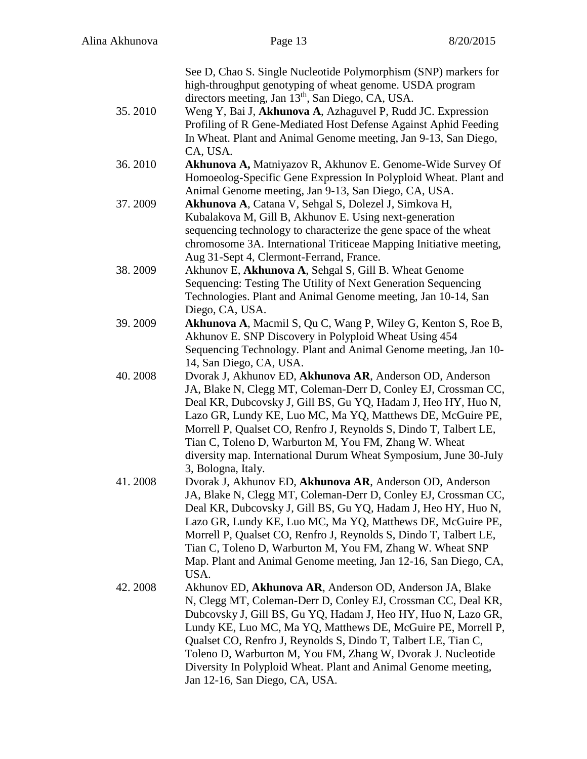|         | See D, Chao S. Single Nucleotide Polymorphism (SNP) markers for<br>high-throughput genotyping of wheat genome. USDA program             |
|---------|-----------------------------------------------------------------------------------------------------------------------------------------|
|         | directors meeting, Jan 13 <sup>th</sup> , San Diego, CA, USA.                                                                           |
| 35.2010 | Weng Y, Bai J, Akhunova A, Azhaguvel P, Rudd JC. Expression                                                                             |
|         | Profiling of R Gene-Mediated Host Defense Against Aphid Feeding                                                                         |
|         | In Wheat. Plant and Animal Genome meeting, Jan 9-13, San Diego,                                                                         |
|         | CA, USA.                                                                                                                                |
| 36.2010 | Akhunova A, Matniyazov R, Akhunov E. Genome-Wide Survey Of                                                                              |
|         | Homoeolog-Specific Gene Expression In Polyploid Wheat. Plant and                                                                        |
|         | Animal Genome meeting, Jan 9-13, San Diego, CA, USA.                                                                                    |
| 37.2009 | Akhunova A, Catana V, Sehgal S, Dolezel J, Simkova H,                                                                                   |
|         | Kubalakova M, Gill B, Akhunov E. Using next-generation                                                                                  |
|         | sequencing technology to characterize the gene space of the wheat<br>chromosome 3A. International Triticeae Mapping Initiative meeting, |
|         | Aug 31-Sept 4, Clermont-Ferrand, France.                                                                                                |
| 38.2009 | Akhunov E, Akhunova A, Sehgal S, Gill B. Wheat Genome                                                                                   |
|         | Sequencing: Testing The Utility of Next Generation Sequencing                                                                           |
|         | Technologies. Plant and Animal Genome meeting, Jan 10-14, San                                                                           |
|         | Diego, CA, USA.                                                                                                                         |
| 39.2009 | Akhunova A, Macmil S, Qu C, Wang P, Wiley G, Kenton S, Roe B,                                                                           |
|         | Akhunov E. SNP Discovery in Polyploid Wheat Using 454                                                                                   |
|         | Sequencing Technology. Plant and Animal Genome meeting, Jan 10-                                                                         |
|         | 14, San Diego, CA, USA.                                                                                                                 |
| 40.2008 | Dvorak J, Akhunov ED, Akhunova AR, Anderson OD, Anderson                                                                                |
|         | JA, Blake N, Clegg MT, Coleman-Derr D, Conley EJ, Crossman CC,                                                                          |
|         | Deal KR, Dubcovsky J, Gill BS, Gu YQ, Hadam J, Heo HY, Huo N,                                                                           |
|         | Lazo GR, Lundy KE, Luo MC, Ma YQ, Matthews DE, McGuire PE,                                                                              |
|         | Morrell P, Qualset CO, Renfro J, Reynolds S, Dindo T, Talbert LE,                                                                       |
|         | Tian C, Toleno D, Warburton M, You FM, Zhang W. Wheat                                                                                   |
|         | diversity map. International Durum Wheat Symposium, June 30-July<br>3, Bologna, Italy.                                                  |
| 41.2008 | Dvorak J, Akhunov ED, Akhunova AR, Anderson OD, Anderson                                                                                |
|         | JA, Blake N, Clegg MT, Coleman-Derr D, Conley EJ, Crossman CC,                                                                          |
|         | Deal KR, Dubcovsky J, Gill BS, Gu YQ, Hadam J, Heo HY, Huo N,                                                                           |
|         | Lazo GR, Lundy KE, Luo MC, Ma YQ, Matthews DE, McGuire PE,                                                                              |
|         | Morrell P, Qualset CO, Renfro J, Reynolds S, Dindo T, Talbert LE,                                                                       |
|         | Tian C, Toleno D, Warburton M, You FM, Zhang W. Wheat SNP                                                                               |
|         | Map. Plant and Animal Genome meeting, Jan 12-16, San Diego, CA,                                                                         |
|         | USA.                                                                                                                                    |
| 42.2008 | Akhunov ED, Akhunova AR, Anderson OD, Anderson JA, Blake                                                                                |
|         | N, Clegg MT, Coleman-Derr D, Conley EJ, Crossman CC, Deal KR,                                                                           |
|         | Dubcovsky J, Gill BS, Gu YQ, Hadam J, Heo HY, Huo N, Lazo GR,                                                                           |
|         | Lundy KE, Luo MC, Ma YQ, Matthews DE, McGuire PE, Morrell P,                                                                            |
|         | Qualset CO, Renfro J, Reynolds S, Dindo T, Talbert LE, Tian C,                                                                          |
|         | Toleno D, Warburton M, You FM, Zhang W, Dvorak J. Nucleotide                                                                            |
|         | Diversity In Polyploid Wheat. Plant and Animal Genome meeting,<br>Jan 12-16, San Diego, CA, USA.                                        |
|         |                                                                                                                                         |